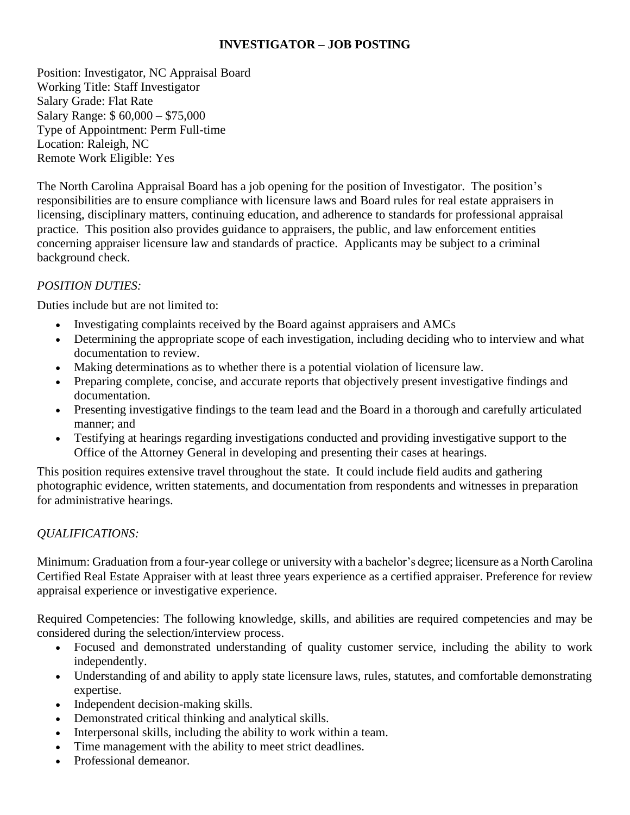### **INVESTIGATOR – JOB POSTING**

Position: Investigator, NC Appraisal Board Working Title: Staff Investigator Salary Grade: Flat Rate Salary Range: \$ 60,000 – \$75,000 Type of Appointment: Perm Full-time Location: Raleigh, NC Remote Work Eligible: Yes

The North Carolina Appraisal Board has a job opening for the position of Investigator. The position's responsibilities are to ensure compliance with licensure laws and Board rules for real estate appraisers in licensing, disciplinary matters, continuing education, and adherence to standards for professional appraisal practice. This position also provides guidance to appraisers, the public, and law enforcement entities concerning appraiser licensure law and standards of practice. Applicants may be subject to a criminal background check.

## *POSITION DUTIES:*

Duties include but are not limited to:

- Investigating complaints received by the Board against appraisers and AMCs
- Determining the appropriate scope of each investigation, including deciding who to interview and what documentation to review.
- Making determinations as to whether there is a potential violation of licensure law.
- Preparing complete, concise, and accurate reports that objectively present investigative findings and documentation.
- Presenting investigative findings to the team lead and the Board in a thorough and carefully articulated manner; and
- Testifying at hearings regarding investigations conducted and providing investigative support to the Office of the Attorney General in developing and presenting their cases at hearings.

This position requires extensive travel throughout the state. It could include field audits and gathering photographic evidence, written statements, and documentation from respondents and witnesses in preparation for administrative hearings.

# *QUALIFICATIONS:*

Minimum: Graduation from a four-year college or university with a bachelor's degree; licensure as a North Carolina Certified Real Estate Appraiser with at least three years experience as a certified appraiser. Preference for review appraisal experience or investigative experience.

Required Competencies: The following knowledge, skills, and abilities are required competencies and may be considered during the selection/interview process.

- Focused and demonstrated understanding of quality customer service, including the ability to work independently.
- Understanding of and ability to apply state licensure laws, rules, statutes, and comfortable demonstrating expertise.
- Independent decision-making skills.
- Demonstrated critical thinking and analytical skills.
- Interpersonal skills, including the ability to work within a team.
- Time management with the ability to meet strict deadlines.
- Professional demeanor.